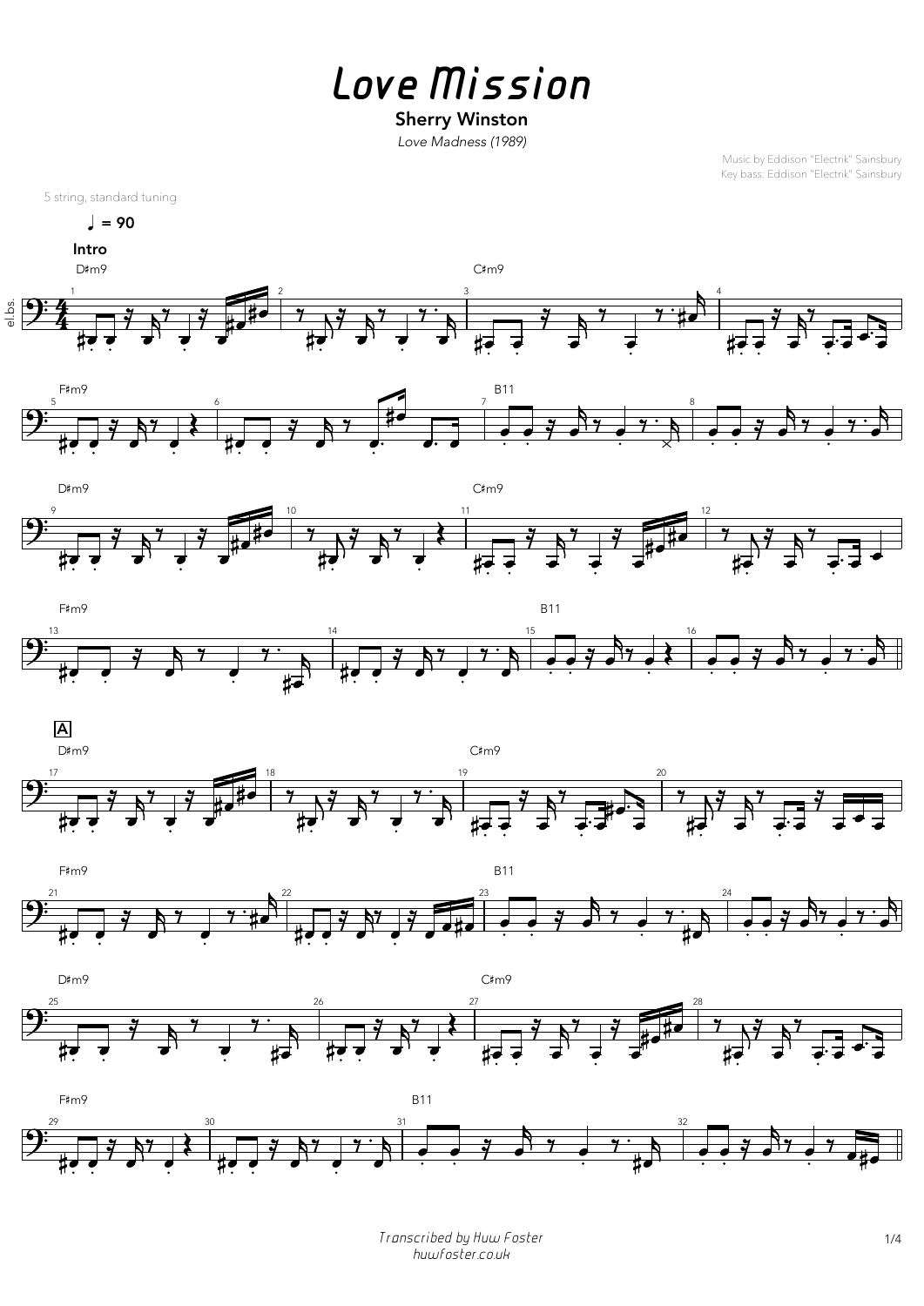*Love Mission*

## Sherry Winston

*Love Madness (1989)*

Music by Eddison "Electrik" Sainsbury Key bass: Eddison "Electrik" Sainsbury



 $\sqrt{ }$  = 90

*Transcribed by Huw Foster* 1/4 *huwfoster.co.uk*





















m9  $B11$ 

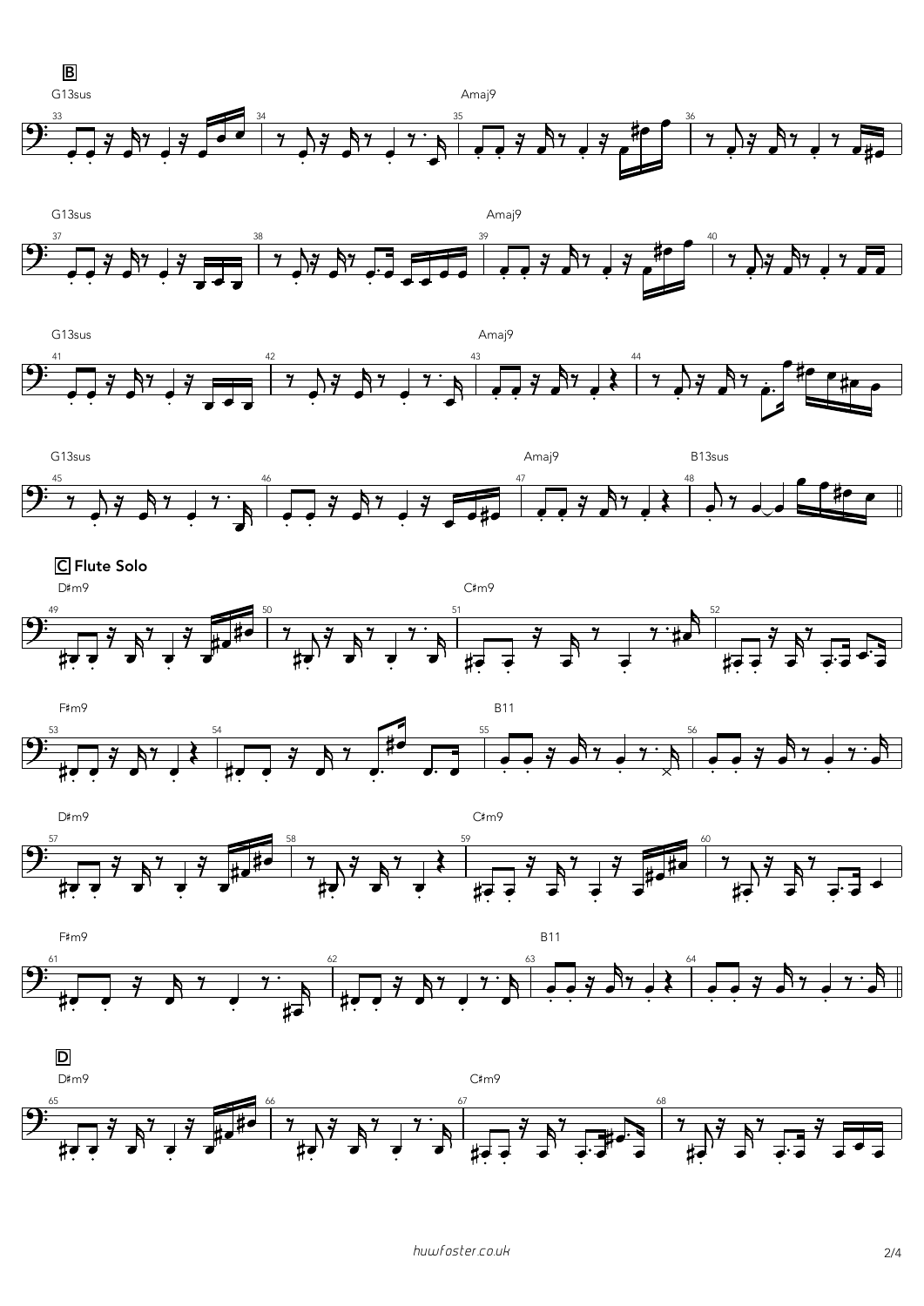*huwfoster.co.uk* 2/4



















D

D#m9



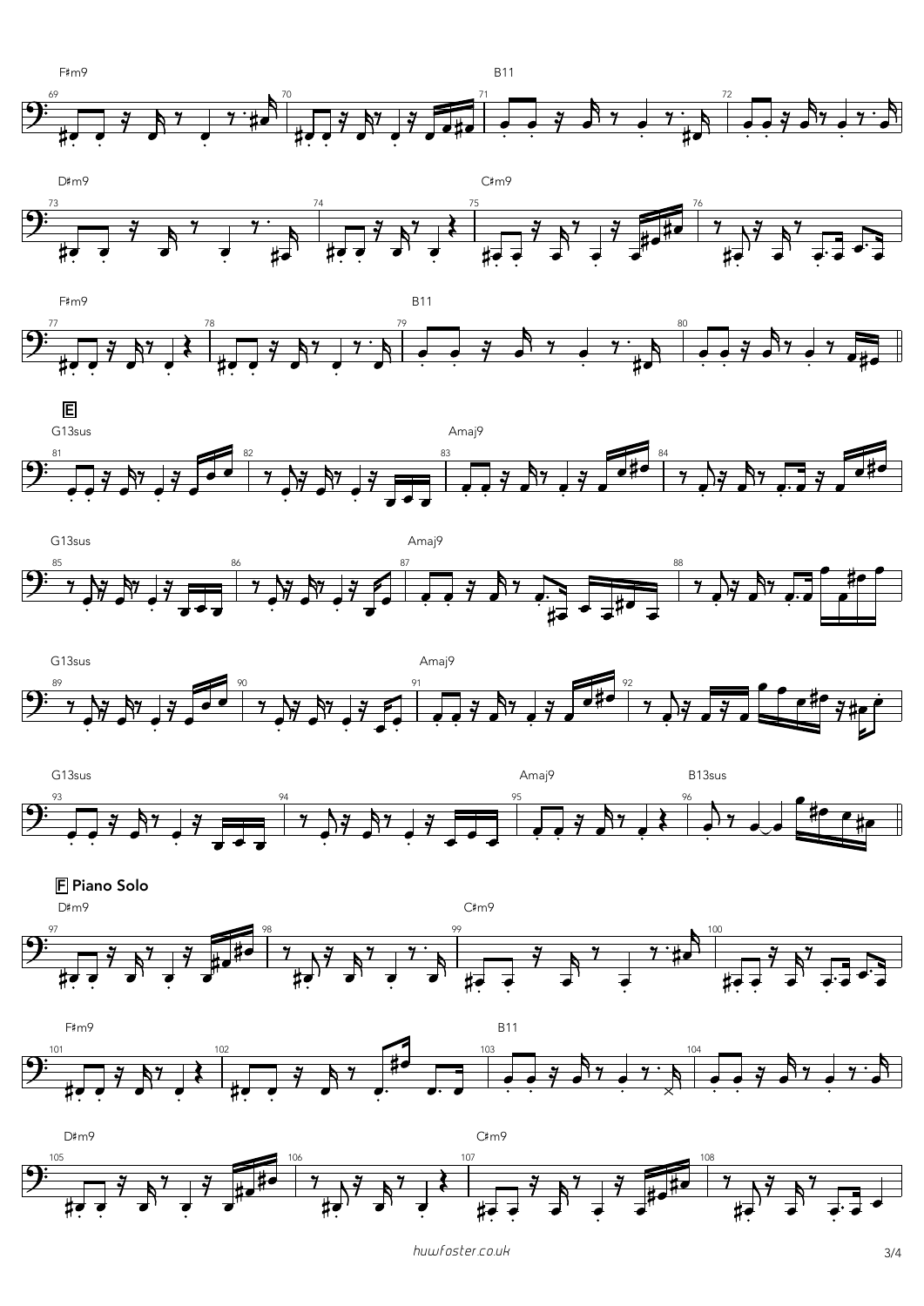













**F** Piano Solo

D#m9

 $C\text{\#m9}$ 







 $C\text{\#m9}$ 



huwfoster.co.uk

 $3/4$